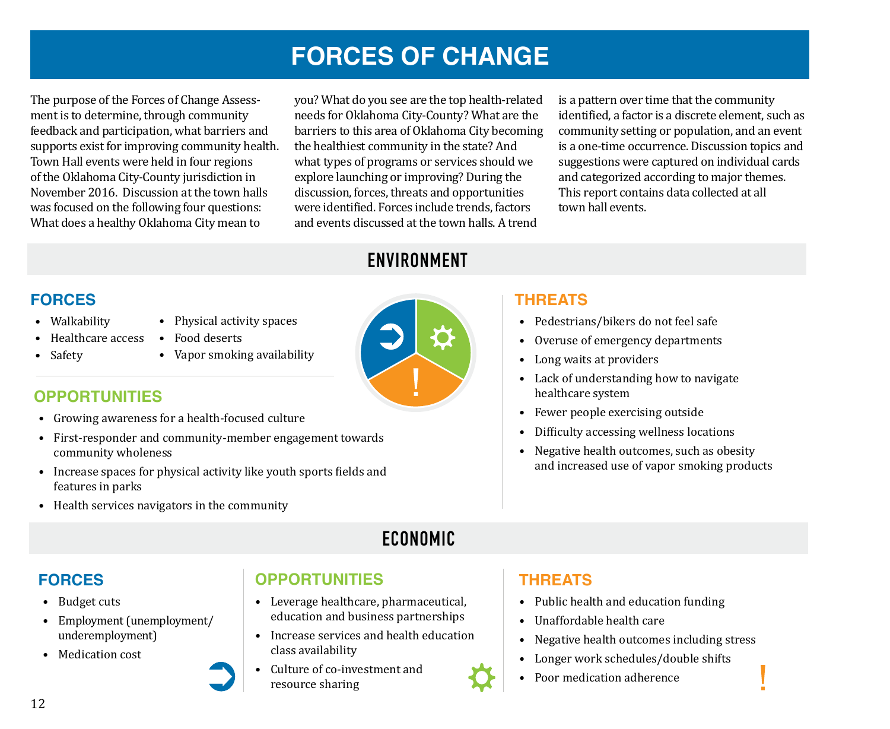# **FORCES OF CHANGE**

The purpose of the Forces of Change Assessment is to determine, through community feedback and participation, what barriers and supports exist for improving community health. Town Hall events were held in four regions of the Oklahoma City-County jurisdiction in November 2016. Discussion at the town halls was focused on the following four questions: What does a healthy Oklahoma City mean to

you? What do you see are the top health-related needs for Oklahoma City-County? What are the barriers to this area of Oklahoma City becoming the healthiest community in the state? And what types of programs or services should we explore launching or improving? During the discussion, forces, threats and opportunities were identified. Forces include trends, factors and events discussed at the town halls. A trend

is a pattern over time that the community identified, a factor is a discrete element, such as community setting or population, and an event is a one-time occurrence. Discussion topics and suggestions were captured on individual cards and categorized according to major themes. This report contains data collected at all town hall events.

# **ENVIRONMENT**

# **FORCES**

- Walkability
- Healthcare access
- Safety
- Physical activity spaces • Food deserts
- Vapor smoking availability

#### **OPPORTUNITIES**

- Growing awareness for a health-focused culture
- First-responder and community-member engagement towards community wholeness
- Increase spaces for physical activity like youth sports fields and features in parks
- Health services navigators in the community

# **ECONOMIC**

### **FORCES**

- Budget cuts
- Employment (unemployment/ underemployment)
- Medication cost

### **OPPORTUNITIES**

- Leverage healthcare, pharmaceutical, education and business partnerships
- Increase services and health education class availability
- Culture of co-investment and resource sharing

### **THREATS**

- Pedestrians/bikers do not feel safe
- Overuse of emergency departments
- Long waits at providers
- Lack of understanding how to navigate healthcare system
- Fewer people exercising outside
- Difficulty accessing wellness locations
- Negative health outcomes, such as obesity and increased use of vapor smoking products

### **THREATS**

- Public health and education funding
- Unaffordable health care
- Negative health outcomes including stress
- Longer work schedules/double shifts
- Poor medication adherence